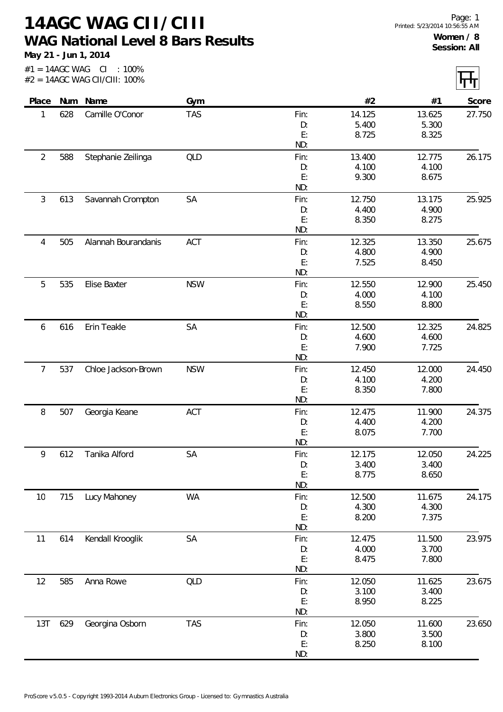**14AGC WAG CII/CIII WAG National Level 8 Bars Results**

**May 21 - Jun 1, 2014**

|                |     | #2 = 14AGC WAG CII/CIII: 100% |            |            |                 |                 |        |
|----------------|-----|-------------------------------|------------|------------|-----------------|-----------------|--------|
| Place          |     | Num Name                      | Gym        |            | #2              | #1              | Score  |
| 1              | 628 | Camille O'Conor               | <b>TAS</b> | Fin:       | 14.125          | 13.625          | 27.750 |
|                |     |                               |            | D:         | 5.400           | 5.300           |        |
|                |     |                               |            | E:<br>ND:  | 8.725           | 8.325           |        |
| $\overline{2}$ | 588 | Stephanie Zeilinga            | <b>QLD</b> | Fin:       | 13.400          | 12.775          | 26.175 |
|                |     |                               |            | D:         | 4.100           | 4.100           |        |
|                |     |                               |            | E:         | 9.300           | 8.675           |        |
|                |     |                               |            | ND:        |                 |                 |        |
| 3              | 613 | Savannah Crompton             | SA         | Fin:       | 12.750          | 13.175          | 25.925 |
|                |     |                               |            | D:<br>E:   | 4.400<br>8.350  | 4.900<br>8.275  |        |
|                |     |                               |            | ND:        |                 |                 |        |
| 4              | 505 | Alannah Bourandanis           | ACT        | Fin:       | 12.325          | 13.350          | 25.675 |
|                |     |                               |            | D:         | 4.800           | 4.900           |        |
|                |     |                               |            | E:         | 7.525           | 8.450           |        |
|                |     |                               |            | ND:        |                 |                 |        |
| 5              | 535 | Elise Baxter                  | <b>NSW</b> | Fin:       | 12.550          | 12.900          | 25.450 |
|                |     |                               |            | D:         | 4.000           | 4.100           |        |
|                |     |                               |            | E:<br>ND:  | 8.550           | 8.800           |        |
| 6              | 616 | Erin Teakle                   | SA         | Fin:       | 12.500          | 12.325          | 24.825 |
|                |     |                               |            | D:         | 4.600           | 4.600           |        |
|                |     |                               |            | E:         | 7.900           | 7.725           |        |
|                |     |                               |            | ND:        |                 |                 |        |
| 7              | 537 | Chloe Jackson-Brown           | <b>NSW</b> | Fin:       | 12.450          | 12.000          | 24.450 |
|                |     |                               |            | D:         | 4.100           | 4.200           |        |
|                |     |                               |            | E:<br>ND:  | 8.350           | 7.800           |        |
| 8              | 507 | Georgia Keane                 | ACT        | Fin:       | 12.475          | 11.900          | 24.375 |
|                |     |                               |            | D:         | 4.400           | 4.200           |        |
|                |     |                               |            | E:         | 8.075           | 7.700           |        |
|                |     |                               |            | ND:        |                 |                 |        |
| 9              | 612 | Tanika Alford                 | SA         | Fin:<br>D: | 12.175<br>3.400 | 12.050<br>3.400 | 24.225 |
|                |     |                               |            | E:         | 8.775           | 8.650           |        |
|                |     |                               |            | ND:        |                 |                 |        |
| 10             | 715 | Lucy Mahoney                  | WA         | Fin:       | 12.500          | 11.675          | 24.175 |
|                |     |                               |            | D:         | 4.300           | 4.300           |        |
|                |     |                               |            | E:<br>ND:  | 8.200           | 7.375           |        |
| 11             | 614 | Kendall Krooglik              | SA         | Fin:       | 12.475          | 11.500          | 23.975 |
|                |     |                               |            | D:         | 4.000           | 3.700           |        |
|                |     |                               |            | E:         | 8.475           | 7.800           |        |
|                |     |                               |            | ND:        |                 |                 |        |
| 12             | 585 | Anna Rowe                     | QLD        | Fin:       | 12.050          | 11.625          | 23.675 |
|                |     |                               |            | D:         | 3.100           | 3.400           |        |
|                |     |                               |            | E:<br>ND:  | 8.950           | 8.225           |        |
| 13T            | 629 | Georgina Osborn               | <b>TAS</b> | Fin:       | 12.050          | 11.600          | 23.650 |
|                |     |                               |            | D:         | 3.800           | 3.500           |        |
|                |     |                               |            | E:         | 8.250           | 8.100           |        |
|                |     |                               |            | ND:        |                 |                 |        |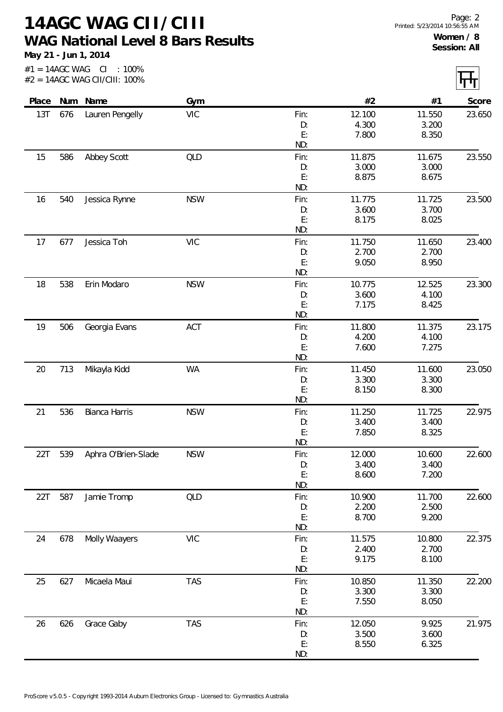**14AGC WAG CII/CIII WAG National Level 8 Bars Results**

**May 21 - Jun 1, 2014**

 $\overline{ }$ 

 $\overline{\phantom{0}}$ 

| Place |     | Num Name            | Gym        |          | #2     | #1     | Score  |
|-------|-----|---------------------|------------|----------|--------|--------|--------|
| 13T   | 676 | Lauren Pengelly     | <b>VIC</b> | Fin:     | 12.100 | 11.550 | 23.650 |
|       |     |                     |            | D:       | 4.300  | 3.200  |        |
|       |     |                     |            | E:       | 7.800  | 8.350  |        |
|       |     |                     |            | ND:      |        |        |        |
| 15    | 586 | Abbey Scott         | QLD        | Fin:     | 11.875 | 11.675 | 23.550 |
|       |     |                     |            | D:       | 3.000  | 3.000  |        |
|       |     |                     |            | E:       | 8.875  | 8.675  |        |
|       |     |                     |            | ND:      |        |        |        |
| 16    | 540 | Jessica Rynne       | <b>NSW</b> | Fin:     | 11.775 | 11.725 | 23.500 |
|       |     |                     |            | D:       | 3.600  | 3.700  |        |
|       |     |                     |            | E:       | 8.175  | 8.025  |        |
|       |     |                     |            | ND:      |        |        |        |
| 17    | 677 | Jessica Toh         | <b>VIC</b> | Fin:     | 11.750 | 11.650 | 23.400 |
|       |     |                     |            | D:       | 2.700  | 2.700  |        |
|       |     |                     |            | E:       | 9.050  | 8.950  |        |
|       |     |                     |            | ND:      |        |        |        |
| 18    | 538 | Erin Modaro         | <b>NSW</b> | Fin:     | 10.775 | 12.525 | 23.300 |
|       |     |                     |            | D:<br>E: | 3.600  | 4.100  |        |
|       |     |                     |            | ND:      | 7.175  | 8.425  |        |
| 19    | 506 |                     | ACT        | Fin:     | 11.800 | 11.375 | 23.175 |
|       |     | Georgia Evans       |            | D:       | 4.200  | 4.100  |        |
|       |     |                     |            | E:       | 7.600  | 7.275  |        |
|       |     |                     |            | ND:      |        |        |        |
| 20    | 713 | Mikayla Kidd        | <b>WA</b>  | Fin:     | 11.450 | 11.600 | 23.050 |
|       |     |                     |            | D:       | 3.300  | 3.300  |        |
|       |     |                     |            | E:       | 8.150  | 8.300  |        |
|       |     |                     |            | ND:      |        |        |        |
| 21    | 536 | Bianca Harris       | <b>NSW</b> | Fin:     | 11.250 | 11.725 | 22.975 |
|       |     |                     |            | D:       | 3.400  | 3.400  |        |
|       |     |                     |            | E:       | 7.850  | 8.325  |        |
|       |     |                     |            | ND:      |        |        |        |
| 22T   | 539 | Aphra O'Brien-Slade | <b>NSW</b> | Fin:     | 12.000 | 10.600 | 22.600 |
|       |     |                     |            | D:       | 3.400  | 3.400  |        |
|       |     |                     |            | E:       | 8.600  | 7.200  |        |
|       |     |                     |            | ND:      |        |        |        |
| 22T   | 587 | Jamie Tromp         | <b>QLD</b> | Fin:     | 10.900 | 11.700 | 22.600 |
|       |     |                     |            | D:       | 2.200  | 2.500  |        |
|       |     |                     |            | E:       | 8.700  | 9.200  |        |
|       |     |                     |            | ND:      |        |        |        |
| 24    | 678 | Molly Waayers       | <b>VIC</b> | Fin:     | 11.575 | 10.800 | 22.375 |
|       |     |                     |            | D:       | 2.400  | 2.700  |        |
|       |     |                     |            | E:       | 9.175  | 8.100  |        |
|       |     |                     |            | ND:      |        |        |        |
| 25    | 627 | Micaela Maui        | <b>TAS</b> | Fin:     | 10.850 | 11.350 | 22.200 |
|       |     |                     |            | D:       | 3.300  | 3.300  |        |
|       |     |                     |            | E:       | 7.550  | 8.050  |        |
|       |     |                     |            | ND:      |        |        |        |
| 26    | 626 | Grace Gaby          | <b>TAS</b> | Fin:     | 12.050 | 9.925  | 21.975 |
|       |     |                     |            | D:       | 3.500  | 3.600  |        |
|       |     |                     |            | E:       | 8.550  | 6.325  |        |
|       |     |                     |            | ND:      |        |        |        |